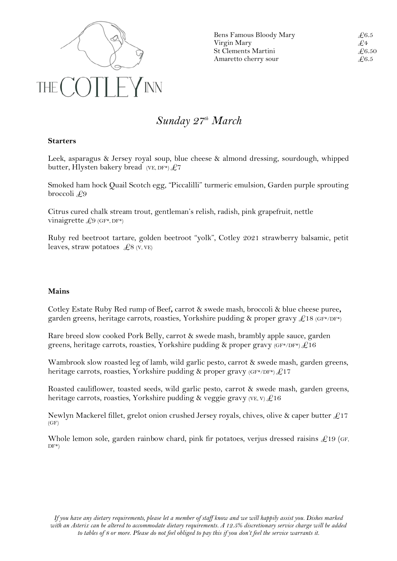

Bens Famous Bloody Mary  $\angle 6.5$ Virgin Mary  $\mathcal{L}_4$ St Clements Martini  $\qquad \qquad \mathcal{L}$ 6.50 Amaretto cherry sour  $\angle 6.5$ 

## *Sunday 27 th March*

## **Starters**

Leek, asparagus & Jersey royal soup, blue cheese & almond dressing, sourdough, whipped butter, Hlysten bakery bread (VE, DF\*)  $£7$ 

Smoked ham hock Quail Scotch egg, "Piccalilli" turmeric emulsion, Garden purple sprouting broccoli £9

Citrus cured chalk stream trout, gentleman's relish, radish, pink grapefruit, nettle vinaigrette  $\text{\Leftrightarrow}$  (GF\*, DF\*)

Ruby red beetroot tartare, golden beetroot "yolk", Cotley 2021 strawberry balsamic, petit leaves, straw potatoes  $\mathcal{L}8$  (V, VE)

## **Mains**

Cotley Estate Ruby Red rump of Beef**,** carrot & swede mash, broccoli & blue cheese puree**,** garden greens, heritage carrots, roasties, Yorkshire pudding & proper gravy  $\mathcal{L}18$  (GF\*/DF\*)

Rare breed slow cooked Pork Belly, carrot & swede mash, brambly apple sauce, garden greens, heritage carrots, roasties, Yorkshire pudding & proper gravy  $(F^*$ /DF $^*)$  $\mathcal{L}$ 16

Wambrook slow roasted leg of lamb, wild garlic pesto, carrot & swede mash, garden greens, heritage carrots, roasties, Yorkshire pudding & proper gravy  $(GF*)DF*) \& 17$ 

Roasted cauliflower, toasted seeds, wild garlic pesto, carrot & swede mash, garden greens, heritage carrots, roasties, Yorkshire pudding & veggie gravy (VE, V)  $\pounds 16$ 

Newlyn Mackerel fillet, grelot onion crushed Jersey royals, chives, olive & caper butter  $\pounds$ 17 (GF)

Whole lemon sole, garden rainbow chard, pink fir potatoes, verjus dressed raisins  $\mathcal{L}19$  (GF,  $DF^*$ )

*If you have any dietary requirements, please let a member of staff know and we will happily assist you. Dishes marked with an Asterix can be altered to accommodate dietary requirements. A 12.5% discretionary service charge will be added to tables of 8 or more. Please do not feel obliged to pay this if you don't feel the service warrants it.*